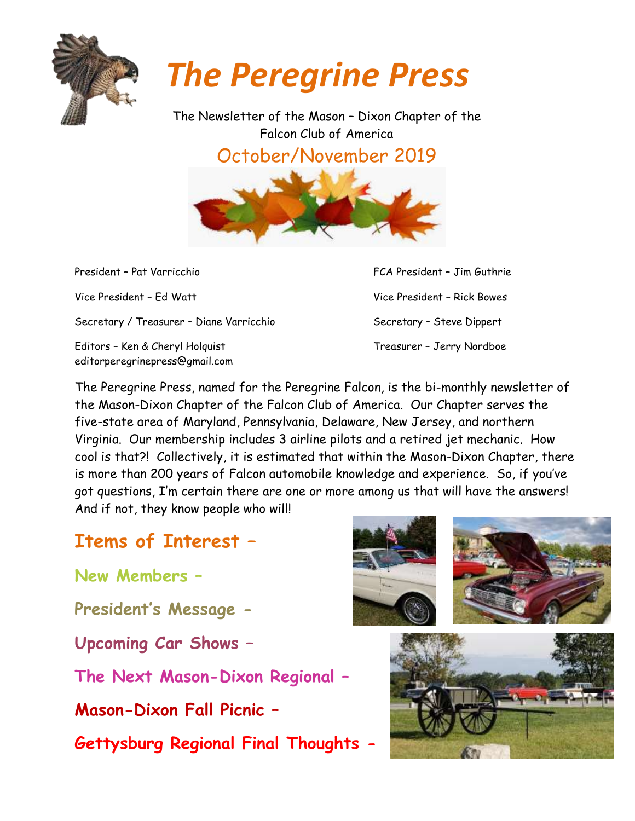

# *The Peregrine Press*

The Newsletter of the Mason – Dixon Chapter of the Falcon Club of America

## October/November 2019



President – Pat Varricchio FCA President – Jim Guthrie Vice President – Ed Watt Vice President – Rick Bowes Secretary / Treasurer – Diane Varricchio Secretary – Steve Dippert Editors – Ken & Cheryl Holquist Treasurer – Jerry Nordboe editorperegrinepress@gmail.com

The Peregrine Press, named for the Peregrine Falcon, is the bi-monthly newsletter of the Mason-Dixon Chapter of the Falcon Club of America. Our Chapter serves the five-state area of Maryland, Pennsylvania, Delaware, New Jersey, and northern Virginia. Our membership includes 3 airline pilots and a retired jet mechanic. How cool is that?! Collectively, it is estimated that within the Mason-Dixon Chapter, there is more than 200 years of Falcon automobile knowledge and experience. So, if you've got questions, I'm certain there are one or more among us that will have the answers! And if not, they know people who will!

# **Items of Interest –**

**New Members –**

**President's Message -**

**Upcoming Car Shows –**

**The Next Mason-Dixon Regional –**

**Mason-Dixon Fall Picnic –**

**Gettysburg Regional Final Thoughts -**



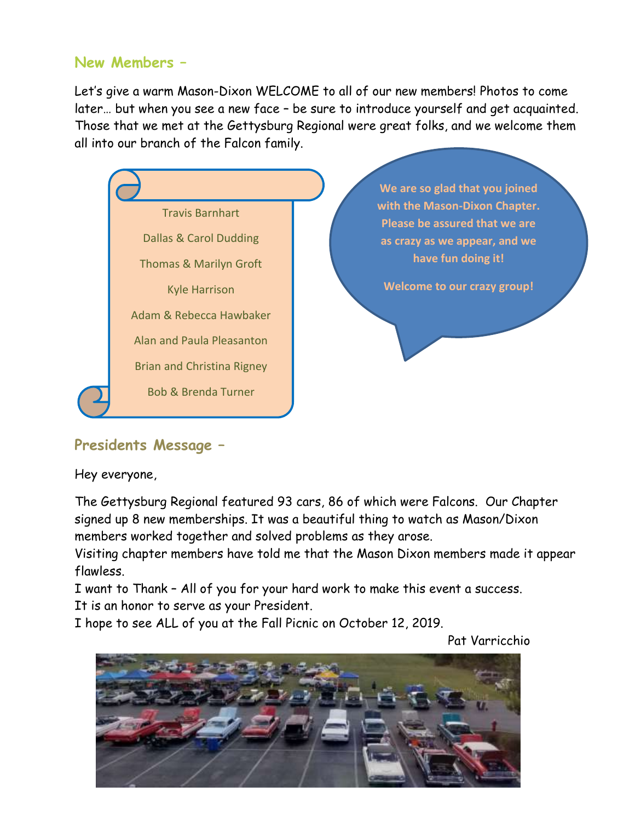#### **New Members –**

Let's give a warm Mason-Dixon WELCOME to all of our new members! Photos to come later… but when you see a new face – be sure to introduce yourself and get acquainted. Those that we met at the Gettysburg Regional were great folks, and we welcome them all into our branch of the Falcon family.



#### **Presidents Message –**

Hey everyone,

The Gettysburg Regional featured 93 cars, 86 of which were Falcons. Our Chapter signed up 8 new memberships. It was a beautiful thing to watch as Mason/Dixon members worked together and solved problems as they arose.

Visiting chapter members have told me that the Mason Dixon members made it appear flawless.

I want to Thank – All of you for your hard work to make this event a success. It is an honor to serve as your President.

I hope to see ALL of you at the Fall Picnic on October 12, 2019.

Pat Varricchio

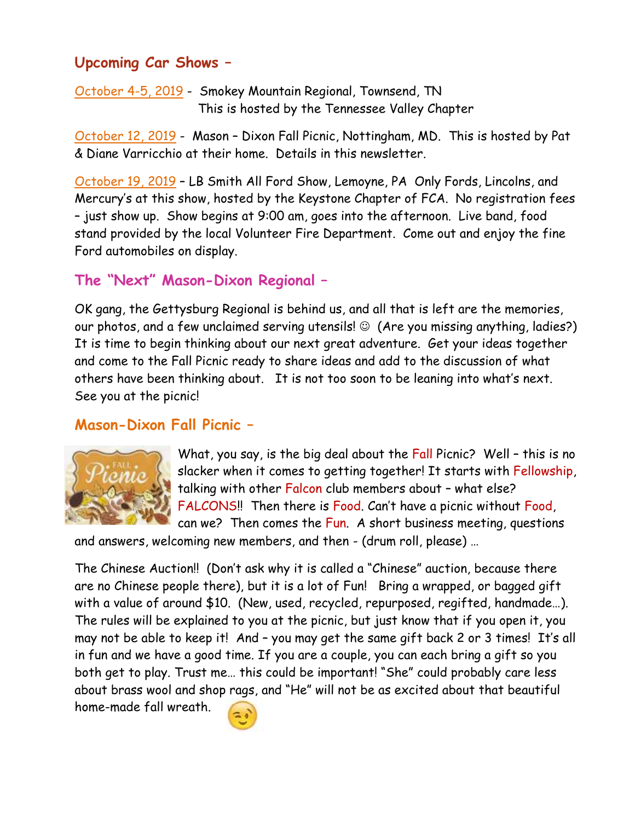#### **Upcoming Car Shows –**

October 4-5, 2019 - Smokey Mountain Regional, Townsend, TN This is hosted by the Tennessee Valley Chapter

October 12, 2019 - Mason – Dixon Fall Picnic, Nottingham, MD. This is hosted by Pat & Diane Varricchio at their home. Details in this newsletter.

October 19, 2019 – LB Smith All Ford Show, Lemoyne, PA Only Fords, Lincolns, and Mercury's at this show, hosted by the Keystone Chapter of FCA. No registration fees – just show up. Show begins at 9:00 am, goes into the afternoon. Live band, food stand provided by the local Volunteer Fire Department. Come out and enjoy the fine Ford automobiles on display.

#### **The "Next" Mason-Dixon Regional –**

OK gang, the Gettysburg Regional is behind us, and all that is left are the memories, our photos, and a few unclaimed serving utensils!  $\odot$  (Are you missing anything, ladies?) It is time to begin thinking about our next great adventure. Get your ideas together and come to the Fall Picnic ready to share ideas and add to the discussion of what others have been thinking about. It is not too soon to be leaning into what's next. See you at the picnic!

#### **Mason-Dixon Fall Picnic –**



What, you say, is the big deal about the Fall Picnic? Well – this is no slacker when it comes to getting together! It starts with Fellowship, talking with other Falcon club members about - what else? FALCONS!! Then there is Food. Can't have a picnic without Food, can we? Then comes the Fun. A short business meeting, questions

and answers, welcoming new members, and then - (drum roll, please) …

The Chinese Auction!! (Don't ask why it is called a "Chinese" auction, because there are no Chinese people there), but it is a lot of Fun! Bring a wrapped, or bagged gift with a value of around \$10. (New, used, recycled, repurposed, regifted, handmade…). The rules will be explained to you at the picnic, but just know that if you open it, you may not be able to keep it! And – you may get the same gift back 2 or 3 times! It's all in fun and we have a good time. If you are a couple, you can each bring a gift so you both get to play. Trust me… this could be important! "She" could probably care less about brass wool and shop rags, and "He" will not be as excited about that beautiful home-made fall wreath.

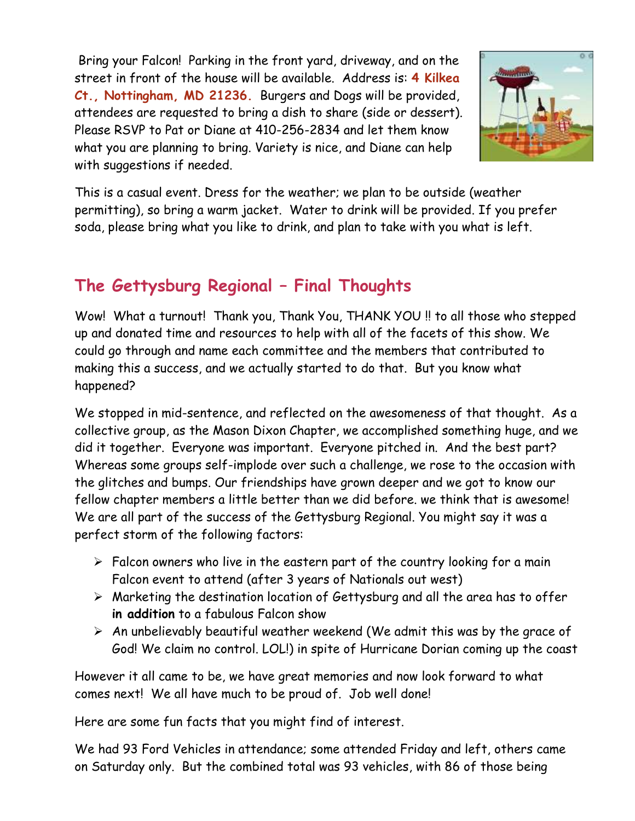Bring your Falcon! Parking in the front yard, driveway, and on the street in front of the house will be available. Address is: **4 Kilkea Ct., Nottingham, MD 21236.** Burgers and Dogs will be provided, attendees are requested to bring a dish to share (side or dessert). Please RSVP to Pat or Diane at 410-256-2834 and let them know what you are planning to bring. Variety is nice, and Diane can help with suggestions if needed.



This is a casual event. Dress for the weather; we plan to be outside (weather permitting), so bring a warm jacket. Water to drink will be provided. If you prefer soda, please bring what you like to drink, and plan to take with you what is left.

### **The Gettysburg Regional – Final Thoughts**

Wow! What a turnout! Thank you, Thank You, THANK YOU !! to all those who stepped up and donated time and resources to help with all of the facets of this show. We could go through and name each committee and the members that contributed to making this a success, and we actually started to do that. But you know what happened?

We stopped in mid-sentence, and reflected on the awesomeness of that thought. As a collective group, as the Mason Dixon Chapter, we accomplished something huge, and we did it together. Everyone was important. Everyone pitched in. And the best part? Whereas some groups self-implode over such a challenge, we rose to the occasion with the glitches and bumps. Our friendships have grown deeper and we got to know our fellow chapter members a little better than we did before. we think that is awesome! We are all part of the success of the Gettysburg Regional. You might say it was a perfect storm of the following factors:

- $\triangleright$  Falcon owners who live in the eastern part of the country looking for a main Falcon event to attend (after 3 years of Nationals out west)
- ➢ Marketing the destination location of Gettysburg and all the area has to offer **in addition** to a fabulous Falcon show
- $\triangleright$  An unbelievably beautiful weather weekend (We admit this was by the grace of God! We claim no control. LOL!) in spite of Hurricane Dorian coming up the coast

However it all came to be, we have great memories and now look forward to what comes next! We all have much to be proud of. Job well done!

Here are some fun facts that you might find of interest.

We had 93 Ford Vehicles in attendance; some attended Friday and left, others came on Saturday only. But the combined total was 93 vehicles, with 86 of those being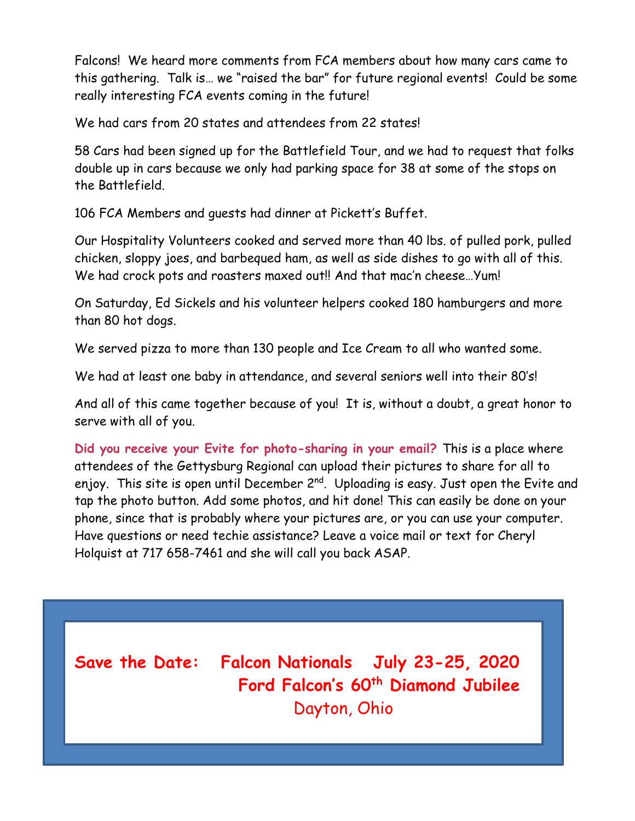Falcons! We heard more comments from FCA members about how many cars came to this gathering. Talk is… we "raised the bar" for future regional events! Could be some really interesting FCA events coming in the future!

We had cars from 20 states and attendees from 22 states!

58 Cars had been signed up for the Battlefield Tour, and we had to request that folks double up in cars because we only had parking space for 38 at some of the stops on the Battlefield.

106 FCA Members and guests had dinner at Pickett's Buffet.

Our Hospitality Volunteers cooked and served more than 40 lbs. of pulled pork, pulled chicken, sloppy joes, and barbequed ham, as well as side dishes to go with all of this. We had crock pots and roasters maxed out!! And that mac'n cheese... Yum!

On Saturday, Ed Sickels and his volunteer helpers cooked 180 hamburgers and more than 80 hot dogs.

We served pizza to more than 130 people and Ice Cream to all who wanted some.

We had at least one baby in attendance, and several seniors well into their 80's!

And all of this came together because of you! It is, without a doubt, a great honor to serve with all of you.

**Did you receive your Evite for photo-sharing in your email?** This is a place where attendees of the Gettysburg Regional can upload their pictures to share for all to enjoy. This site is open until December  $2^{nd}$ . Uploading is easy. Just open the Evite and tap the photo button. Add some photos, and hit done! This can easily be done on your phone, since that is probably where your pictures are, or you can use your computer. Have questions or need techie assistance? Leave a voice mail or text for Cheryl Holquist at 717 658-7461 and she will call you back ASAP.

**Save the Date: Falcon Nationals July 23-25, 2020 Ford Falcon's 60th Diamond Jubilee** Dayton, Ohio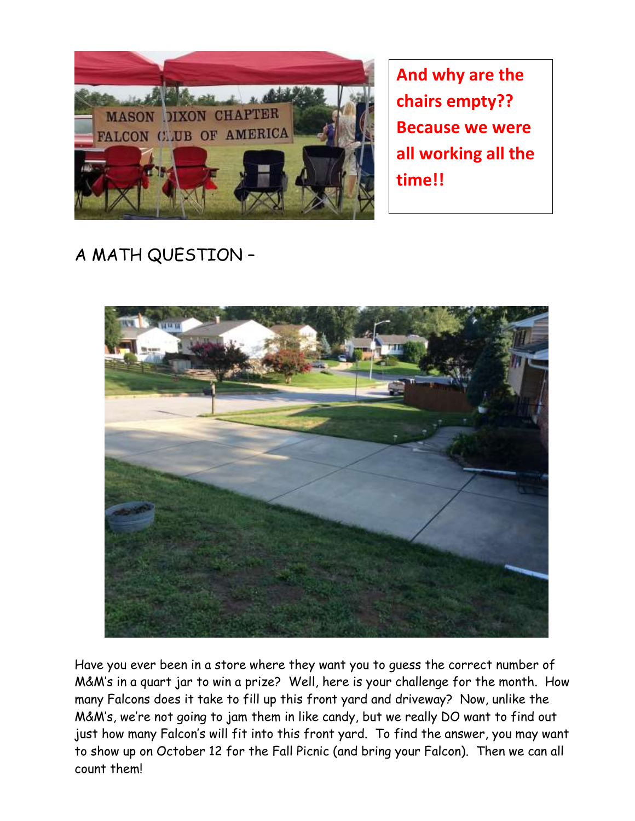

**And why are the chairs empty?? Because we were all working all the time!!**

A MATH QUESTION –



Have you ever been in a store where they want you to guess the correct number of M&M's in a quart jar to win a prize? Well, here is your challenge for the month. How many Falcons does it take to fill up this front yard and driveway? Now, unlike the M&M's, we're not going to jam them in like candy, but we really DO want to find out just how many Falcon's will fit into this front yard. To find the answer, you may want to show up on October 12 for the Fall Picnic (and bring your Falcon). Then we can all count them!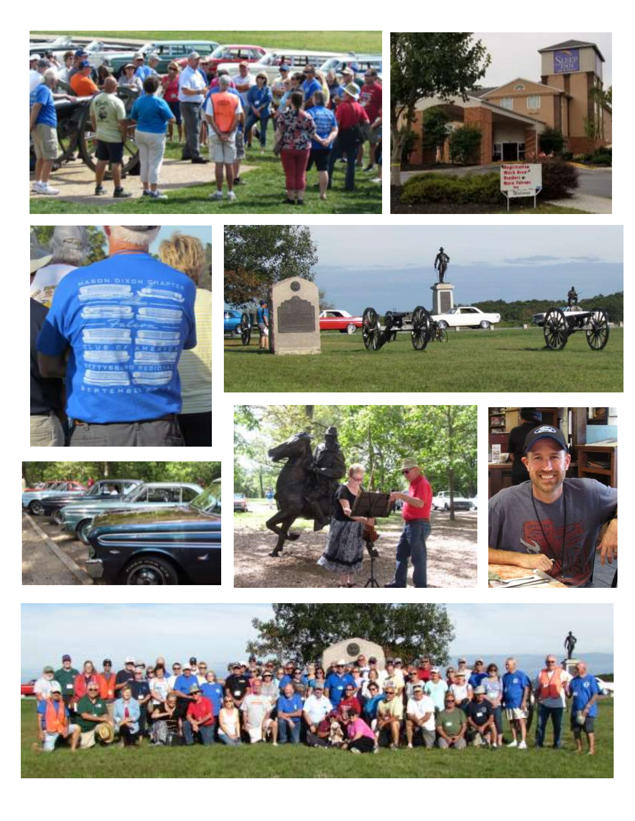